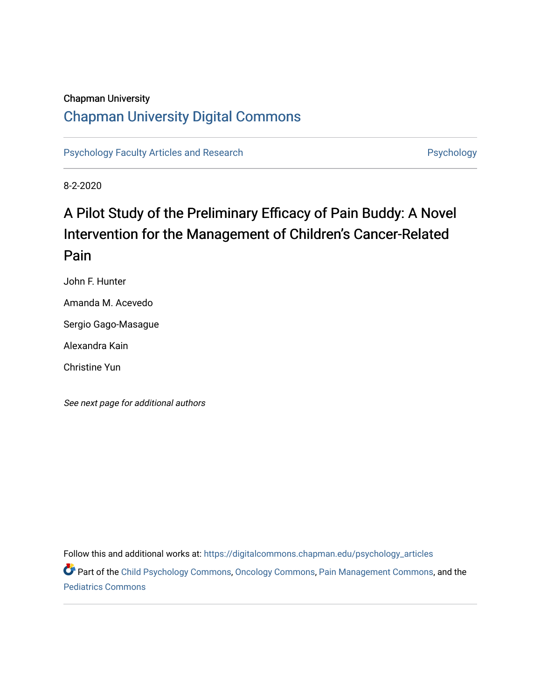### Chapman University

# [Chapman University Digital Commons](https://digitalcommons.chapman.edu/)

[Psychology Faculty Articles and Research](https://digitalcommons.chapman.edu/psychology_articles) **Psychology** Psychology

8-2-2020

# A Pilot Study of the Preliminary Efficacy of Pain Buddy: A Novel Intervention for the Management of Children's Cancer-Related Pain

John F. Hunter

Amanda M. Acevedo

Sergio Gago-Masague

Alexandra Kain

Christine Yun

See next page for additional authors

Follow this and additional works at: [https://digitalcommons.chapman.edu/psychology\\_articles](https://digitalcommons.chapman.edu/psychology_articles?utm_source=digitalcommons.chapman.edu%2Fpsychology_articles%2F220&utm_medium=PDF&utm_campaign=PDFCoverPages)

Part of the [Child Psychology Commons,](http://network.bepress.com/hgg/discipline/1023?utm_source=digitalcommons.chapman.edu%2Fpsychology_articles%2F220&utm_medium=PDF&utm_campaign=PDFCoverPages) [Oncology Commons,](http://network.bepress.com/hgg/discipline/694?utm_source=digitalcommons.chapman.edu%2Fpsychology_articles%2F220&utm_medium=PDF&utm_campaign=PDFCoverPages) [Pain Management Commons,](http://network.bepress.com/hgg/discipline/1274?utm_source=digitalcommons.chapman.edu%2Fpsychology_articles%2F220&utm_medium=PDF&utm_campaign=PDFCoverPages) and the [Pediatrics Commons](http://network.bepress.com/hgg/discipline/700?utm_source=digitalcommons.chapman.edu%2Fpsychology_articles%2F220&utm_medium=PDF&utm_campaign=PDFCoverPages)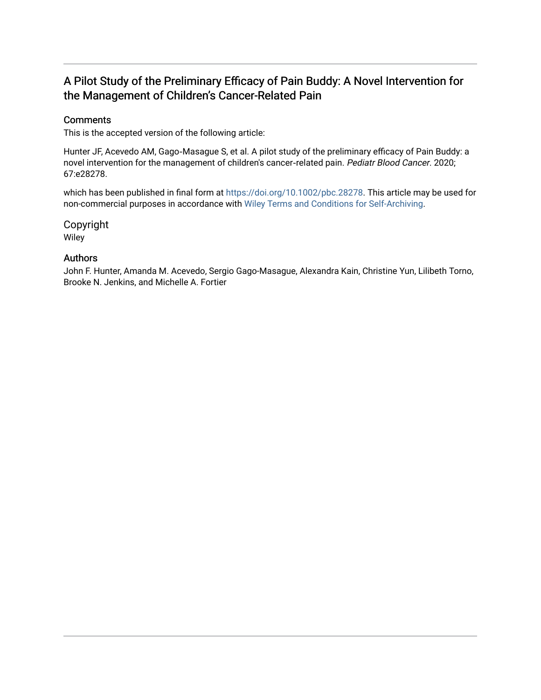# A Pilot Study of the Preliminary Efficacy of Pain Buddy: A Novel Intervention for the Management of Children's Cancer-Related Pain

### **Comments**

This is the accepted version of the following article:

Hunter JF, Acevedo AM, Gago‐Masague S, et al. A pilot study of the preliminary efficacy of Pain Buddy: a novel intervention for the management of children's cancer-related pain. Pediatr Blood Cancer. 2020; 67:e28278.

which has been published in final form at <https://doi.org/10.1002/pbc.28278>. This article may be used for non-commercial purposes in accordance with [Wiley Terms and Conditions for Self-Archiving](http://olabout.wiley.com/WileyCDA/Section/id-820227.html#terms).

Copyright Wiley

### Authors

John F. Hunter, Amanda M. Acevedo, Sergio Gago-Masague, Alexandra Kain, Christine Yun, Lilibeth Torno, Brooke N. Jenkins, and Michelle A. Fortier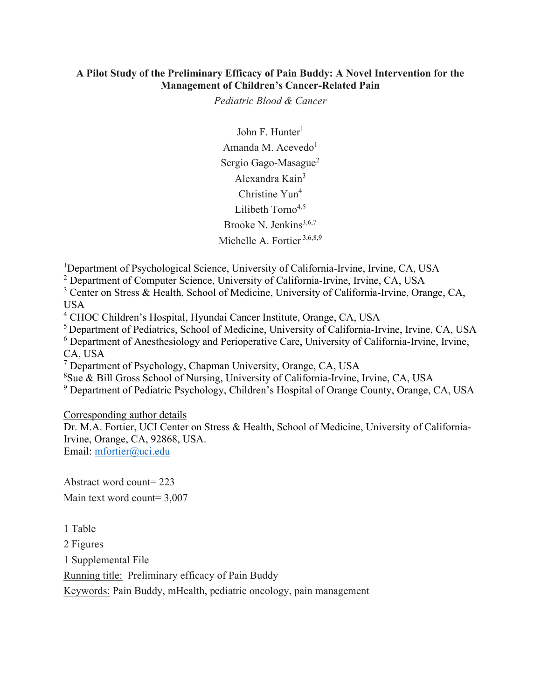### **A Pilot Study of the Preliminary Efficacy of Pain Buddy: A Novel Intervention for the Management of Children's Cancer-Related Pain**

*Pediatric Blood & Cancer* 

John F. Hunter<sup>1</sup> Amanda M. Acevedo $1$ Sergio Gago-Masague<sup>2</sup> Alexandra Kain<sup>3</sup> Christine Yun<sup>4</sup> Lilibeth Torno<sup>4,5</sup> Brooke N. Jenkins $3,6,7$ Michelle A. Fortier 3,6,8,9

<sup>1</sup>Department of Psychological Science, University of California-Irvine, Irvine, CA, USA

<sup>2</sup> Department of Computer Science, University of California-Irvine, Irvine, CA, USA

<sup>3</sup> Center on Stress & Health, School of Medicine, University of California-Irvine, Orange, CA, USA

<sup>4</sup> CHOC Children's Hospital, Hyundai Cancer Institute, Orange, CA, USA

5 Department of Pediatrics, School of Medicine, University of California-Irvine, Irvine, CA, USA

<sup>6</sup> Department of Anesthesiology and Perioperative Care, University of California-Irvine, Irvine, CA, USA

 $<sup>7</sup>$  Department of Psychology, Chapman University, Orange, CA, USA</sup>

8 Sue & Bill Gross School of Nursing, University of California-Irvine, Irvine, CA, USA

<sup>9</sup> Department of Pediatric Psychology, Children's Hospital of Orange County, Orange, CA, USA

Corresponding author details

Dr. M.A. Fortier, UCI Center on Stress & Health, School of Medicine, University of California-Irvine, Orange, CA, 92868, USA.

Email: [mfortier@uci.edu](mailto:mfortier@uci.edu)

Abstract word count= 223 Main text word count= 3,007

1 Table

2 Figures

1 Supplemental File

Running title: Preliminary efficacy of Pain Buddy

Keywords: Pain Buddy, mHealth, pediatric oncology, pain management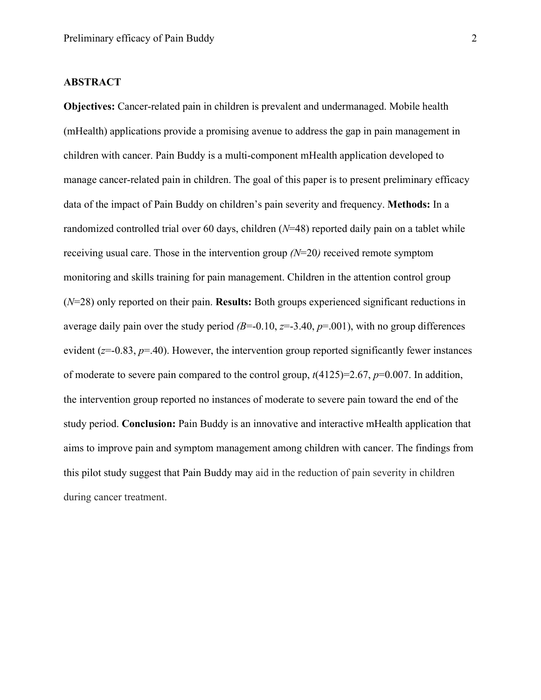#### **ABSTRACT**

**Objectives:** Cancer-related pain in children is prevalent and undermanaged. Mobile health (mHealth) applications provide a promising avenue to address the gap in pain management in children with cancer. Pain Buddy is a multi-component mHealth application developed to manage cancer-related pain in children. The goal of this paper is to present preliminary efficacy data of the impact of Pain Buddy on children's pain severity and frequency. **Methods:** In a randomized controlled trial over 60 days, children (*N*=48) reported daily pain on a tablet while receiving usual care. Those in the intervention group *(N*=20*)* received remote symptom monitoring and skills training for pain management. Children in the attention control group (*N*=28) only reported on their pain. **Results:** Both groups experienced significant reductions in average daily pain over the study period  $(B=-0.10, z=-3.40, p=0.01)$ , with no group differences evident (*z*=-0.83, *p*=.40). However, the intervention group reported significantly fewer instances of moderate to severe pain compared to the control group, *t*(4125)=2.67, *p*=0.007. In addition, the intervention group reported no instances of moderate to severe pain toward the end of the study period. **Conclusion:** Pain Buddy is an innovative and interactive mHealth application that aims to improve pain and symptom management among children with cancer. The findings from this pilot study suggest that Pain Buddy may aid in the reduction of pain severity in children during cancer treatment.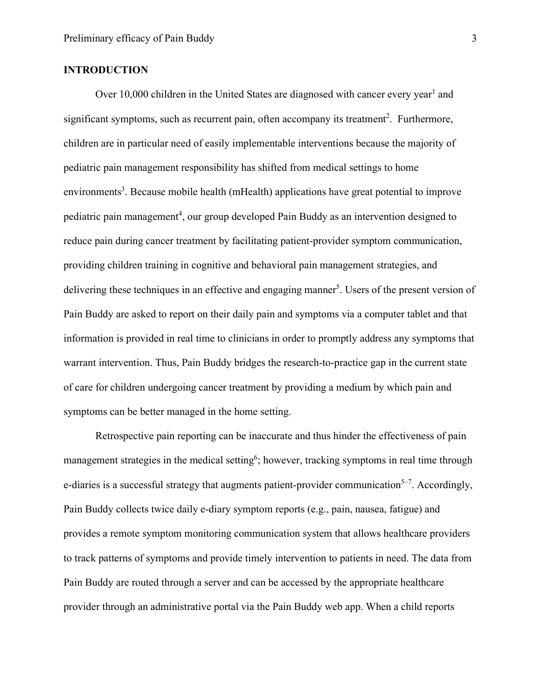### **INTRODUCTION**

Over 10,000 children in the United States are diagnosed with cancer every year<sup>1</sup> and significant symptoms, such as recurrent pain, often accompany its treatment<sup>2</sup>. Furthermore, children are in particular need of easily implementable interventions because the majority of pediatric pain management responsibility has shifted from medical settings to home environments<sup>3</sup>. Because mobile health (mHealth) applications have great potential to improve pediatric pain management<sup>4</sup>, our group developed Pain Buddy as an intervention designed to reduce pain during cancer treatment by facilitating patient-provider symptom communication, providing children training in cognitive and behavioral pain management strategies, and delivering these techniques in an effective and engaging manner<sup>5</sup>. Users of the present version of Pain Buddy are asked to report on their daily pain and symptoms via a computer tablet and that information is provided in real time to clinicians in order to promptly address any symptoms that warrant intervention. Thus, Pain Buddy bridges the research-to-practice gap in the current state of care for children undergoing cancer treatment by providing a medium by which pain and symptoms can be better managed in the home setting.

Retrospective pain reporting can be inaccurate and thus hinder the effectiveness of pain management strategies in the medical setting<sup>6</sup>; however, tracking symptoms in real time through e-diaries is a successful strategy that augments patient-provider communication $5-7$ . Accordingly, Pain Buddy collects twice daily e-diary symptom reports (e.g., pain, nausea, fatigue) and provides a remote symptom monitoring communication system that allows healthcare providers to track patterns of symptoms and provide timely intervention to patients in need. The data from Pain Buddy are routed through a server and can be accessed by the appropriate healthcare provider through an administrative portal via the Pain Buddy web app. When a child reports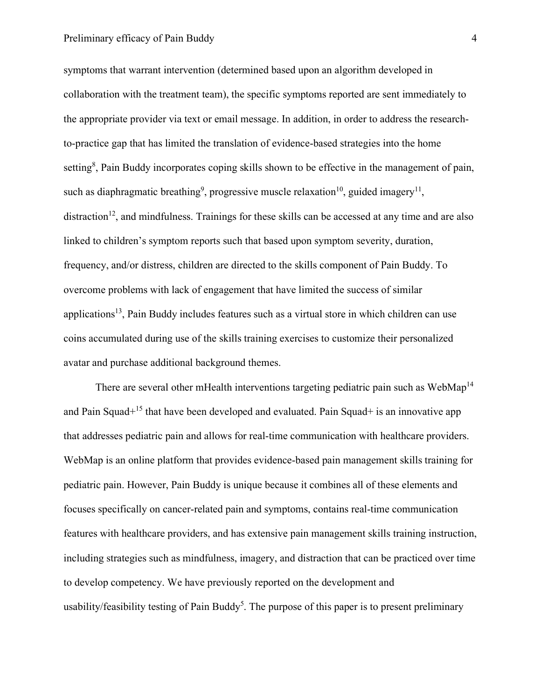#### Preliminary efficacy of Pain Buddy 4

symptoms that warrant intervention (determined based upon an algorithm developed in collaboration with the treatment team), the specific symptoms reported are sent immediately to the appropriate provider via text or email message. In addition, in order to address the researchto-practice gap that has limited the translation of evidence-based strategies into the home setting<sup>8</sup>, Pain Buddy incorporates coping skills shown to be effective in the management of pain, such as diaphragmatic breathing<sup>9</sup>, progressive muscle relaxation<sup>10</sup>, guided imagery<sup>11</sup>, distraction<sup>12</sup>, and mindfulness. Trainings for these skills can be accessed at any time and are also linked to children's symptom reports such that based upon symptom severity, duration, frequency, and/or distress, children are directed to the skills component of Pain Buddy. To overcome problems with lack of engagement that have limited the success of similar applications<sup>13</sup>, Pain Buddy includes features such as a virtual store in which children can use coins accumulated during use of the skills training exercises to customize their personalized avatar and purchase additional background themes.

There are several other mHealth interventions targeting pediatric pain such as WebMap<sup>14</sup> and Pain Squad<sup>+15</sup> that have been developed and evaluated. Pain Squad+ is an innovative app that addresses pediatric pain and allows for real-time communication with healthcare providers. WebMap is an online platform that provides evidence-based pain management skills training for pediatric pain. However, Pain Buddy is unique because it combines all of these elements and focuses specifically on cancer-related pain and symptoms, contains real-time communication features with healthcare providers, and has extensive pain management skills training instruction, including strategies such as mindfulness, imagery, and distraction that can be practiced over time to develop competency. We have previously reported on the development and usability/feasibility testing of Pain Buddy<sup>5</sup>. The purpose of this paper is to present preliminary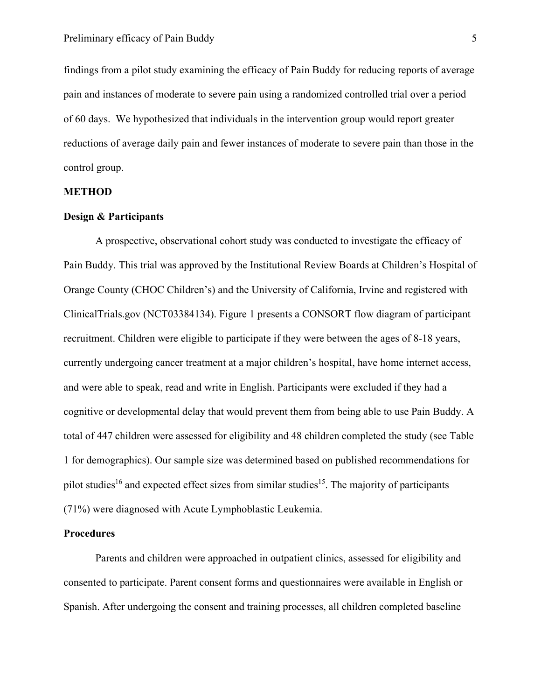findings from a pilot study examining the efficacy of Pain Buddy for reducing reports of average pain and instances of moderate to severe pain using a randomized controlled trial over a period of 60 days. We hypothesized that individuals in the intervention group would report greater reductions of average daily pain and fewer instances of moderate to severe pain than those in the control group.

#### **METHOD**

### **Design & Participants**

A prospective, observational cohort study was conducted to investigate the efficacy of Pain Buddy. This trial was approved by the Institutional Review Boards at Children's Hospital of Orange County (CHOC Children's) and the University of California, Irvine and registered with ClinicalTrials.gov (NCT03384134). Figure 1 presents a CONSORT flow diagram of participant recruitment. Children were eligible to participate if they were between the ages of 8-18 years, currently undergoing cancer treatment at a major children's hospital, have home internet access, and were able to speak, read and write in English. Participants were excluded if they had a cognitive or developmental delay that would prevent them from being able to use Pain Buddy. A total of 447 children were assessed for eligibility and 48 children completed the study (see Table 1 for demographics). Our sample size was determined based on published recommendations for pilot studies<sup>16</sup> and expected effect sizes from similar studies<sup>15</sup>. The majority of participants (71%) were diagnosed with Acute Lymphoblastic Leukemia.

#### **Procedures**

Parents and children were approached in outpatient clinics, assessed for eligibility and consented to participate. Parent consent forms and questionnaires were available in English or Spanish. After undergoing the consent and training processes, all children completed baseline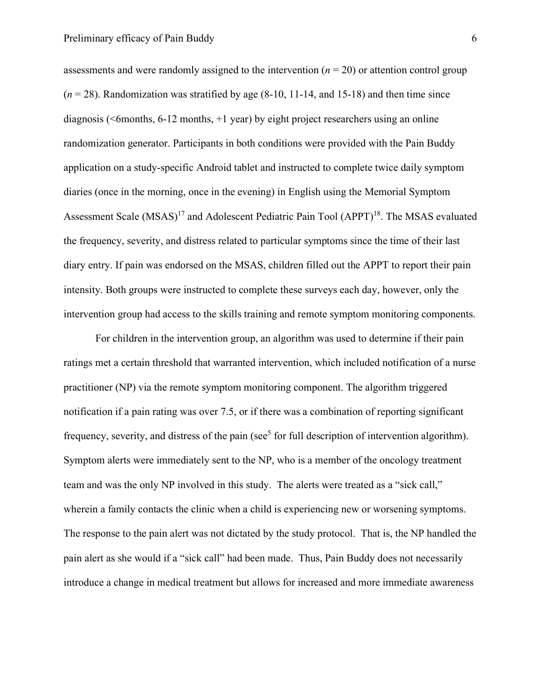assessments and were randomly assigned to the intervention (*n* = 20) or attention control group  $(n = 28)$ . Randomization was stratified by age  $(8-10, 11-14,$  and 15-18) and then time since diagnosis ( $\leq$ 6months, 6-12 months,  $+1$  year) by eight project researchers using an online randomization generator. Participants in both conditions were provided with the Pain Buddy application on a study-specific Android tablet and instructed to complete twice daily symptom diaries (once in the morning, once in the evening) in English using the Memorial Symptom Assessment Scale (MSAS)<sup>17</sup> and Adolescent Pediatric Pain Tool (APPT)<sup>18</sup>. The MSAS evaluated the frequency, severity, and distress related to particular symptoms since the time of their last diary entry. If pain was endorsed on the MSAS, children filled out the APPT to report their pain intensity. Both groups were instructed to complete these surveys each day, however, only the intervention group had access to the skills training and remote symptom monitoring components.

For children in the intervention group, an algorithm was used to determine if their pain ratings met a certain threshold that warranted intervention, which included notification of a nurse practitioner (NP) via the remote symptom monitoring component. The algorithm triggered notification if a pain rating was over 7.5, or if there was a combination of reporting significant frequency, severity, and distress of the pain (see<sup>5</sup> for full description of intervention algorithm). Symptom alerts were immediately sent to the NP, who is a member of the oncology treatment team and was the only NP involved in this study. The alerts were treated as a "sick call," wherein a family contacts the clinic when a child is experiencing new or worsening symptoms. The response to the pain alert was not dictated by the study protocol. That is, the NP handled the pain alert as she would if a "sick call" had been made. Thus, Pain Buddy does not necessarily introduce a change in medical treatment but allows for increased and more immediate awareness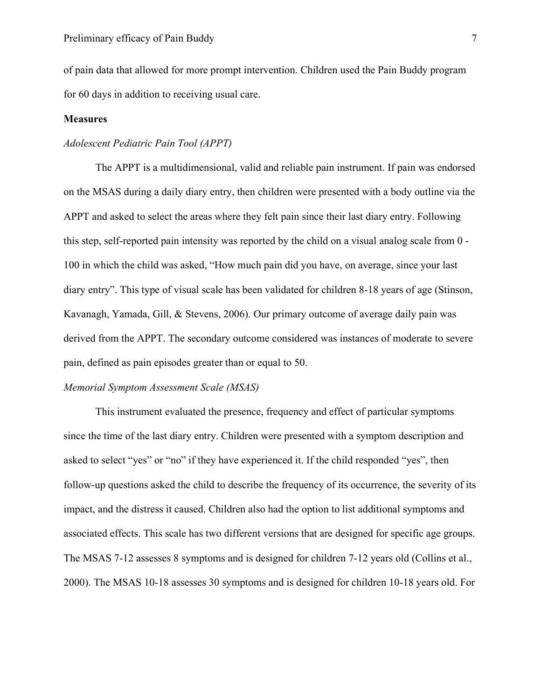of pain data that allowed for more prompt intervention. Children used the Pain Buddy program for 60 days in addition to receiving usual care.

#### **Measures**

#### *Adolescent Pediatric Pain Tool (APPT)*

The APPT is a multidimensional, valid and reliable pain instrument. If pain was endorsed on the MSAS during a daily diary entry, then children were presented with a body outline via the APPT and asked to select the areas where they felt pain since their last diary entry. Following this step, self-reported pain intensity was reported by the child on a visual analog scale from 0 - 100 in which the child was asked, "How much pain did you have, on average, since your last diary entry". This type of visual scale has been validated for children 8-18 years of age (Stinson, Kavanagh, Yamada, Gill, & Stevens, 2006). Our primary outcome of average daily pain was derived from the APPT. The secondary outcome considered was instances of moderate to severe pain, defined as pain episodes greater than or equal to 50.

#### *Memorial Symptom Assessment Scale (MSAS)*

This instrument evaluated the presence, frequency and effect of particular symptoms since the time of the last diary entry. Children were presented with a symptom description and asked to select "yes" or "no" if they have experienced it. If the child responded "yes", then follow-up questions asked the child to describe the frequency of its occurrence, the severity of its impact, and the distress it caused. Children also had the option to list additional symptoms and associated effects. This scale has two different versions that are designed for specific age groups. The MSAS 7-12 assesses 8 symptoms and is designed for children 7-12 years old (Collins et al., 2000). The MSAS 10-18 assesses 30 symptoms and is designed for children 10-18 years old. For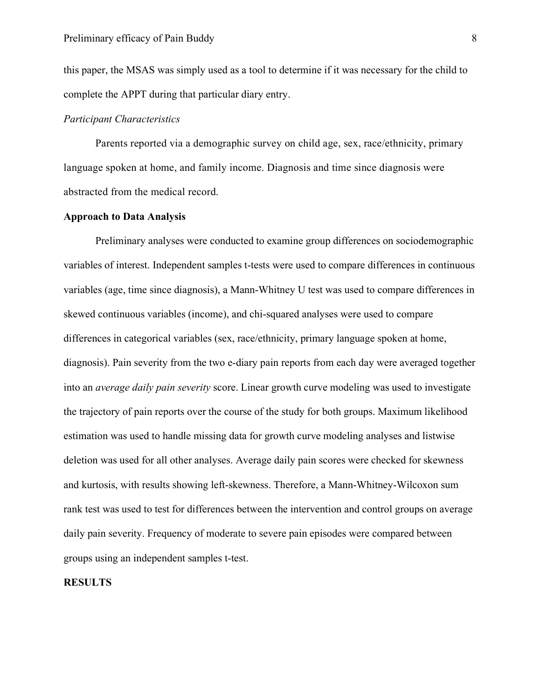this paper, the MSAS was simply used as a tool to determine if it was necessary for the child to complete the APPT during that particular diary entry.

#### *Participant Characteristics*

Parents reported via a demographic survey on child age, sex, race/ethnicity, primary language spoken at home, and family income. Diagnosis and time since diagnosis were abstracted from the medical record.

#### **Approach to Data Analysis**

Preliminary analyses were conducted to examine group differences on sociodemographic variables of interest. Independent samples t-tests were used to compare differences in continuous variables (age, time since diagnosis), a Mann-Whitney U test was used to compare differences in skewed continuous variables (income), and chi-squared analyses were used to compare differences in categorical variables (sex, race/ethnicity, primary language spoken at home, diagnosis). Pain severity from the two e-diary pain reports from each day were averaged together into an *average daily pain severity* score. Linear growth curve modeling was used to investigate the trajectory of pain reports over the course of the study for both groups. Maximum likelihood estimation was used to handle missing data for growth curve modeling analyses and listwise deletion was used for all other analyses. Average daily pain scores were checked for skewness and kurtosis, with results showing left-skewness. Therefore, a Mann-Whitney-Wilcoxon sum rank test was used to test for differences between the intervention and control groups on average daily pain severity. Frequency of moderate to severe pain episodes were compared between groups using an independent samples t-test.

#### **RESULTS**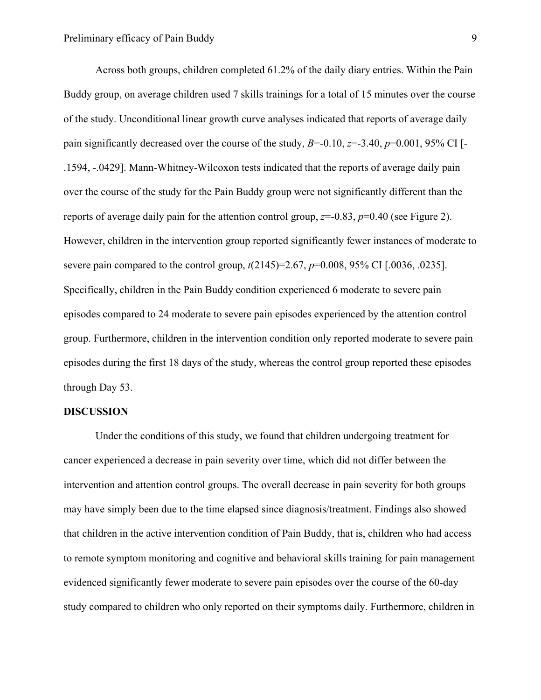Across both groups, children completed 61.2% of the daily diary entries. Within the Pain Buddy group, on average children used 7 skills trainings for a total of 15 minutes over the course of the study. Unconditional linear growth curve analyses indicated that reports of average daily pain significantly decreased over the course of the study,  $B=-0.10$ ,  $z=-3.40$ ,  $p=0.001$ , 95% CI [-.1594, -.0429]. Mann-Whitney-Wilcoxon tests indicated that the reports of average daily pain over the course of the study for the Pain Buddy group were not significantly different than the reports of average daily pain for the attention control group,  $z=0.83$ ,  $p=0.40$  (see Figure 2). However, children in the intervention group reported significantly fewer instances of moderate to severe pain compared to the control group, *t*(2145)=2.67, *p*=0.008, 95% CI [.0036, .0235]. Specifically, children in the Pain Buddy condition experienced 6 moderate to severe pain episodes compared to 24 moderate to severe pain episodes experienced by the attention control group. Furthermore, children in the intervention condition only reported moderate to severe pain episodes during the first 18 days of the study, whereas the control group reported these episodes through Day 53.

#### **DISCUSSION**

Under the conditions of this study, we found that children undergoing treatment for cancer experienced a decrease in pain severity over time, which did not differ between the intervention and attention control groups. The overall decrease in pain severity for both groups may have simply been due to the time elapsed since diagnosis/treatment. Findings also showed that children in the active intervention condition of Pain Buddy, that is, children who had access to remote symptom monitoring and cognitive and behavioral skills training for pain management evidenced significantly fewer moderate to severe pain episodes over the course of the 60-day study compared to children who only reported on their symptoms daily. Furthermore, children in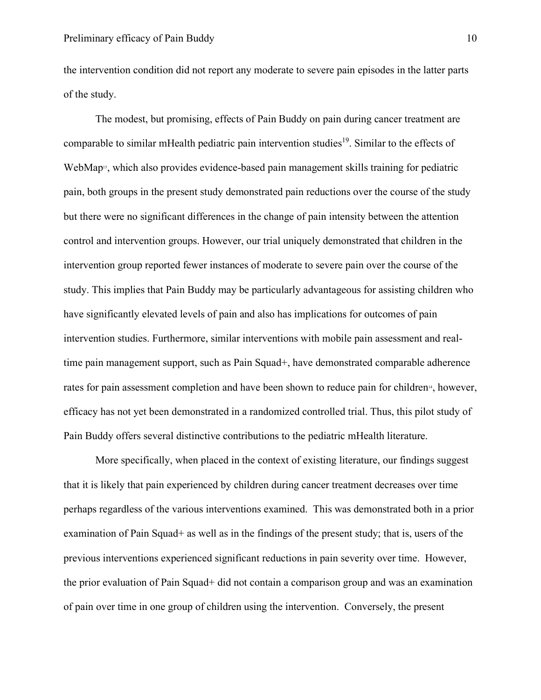the intervention condition did not report any moderate to severe pain episodes in the latter parts of the study.

The modest, but promising, effects of Pain Buddy on pain during cancer treatment are comparable to similar mHealth pediatric pain intervention studies<sup>19</sup>. Similar to the effects of WebMap<sup>5</sup>, which also provides evidence-based pain management skills training for pediatric pain, both groups in the present study demonstrated pain reductions over the course of the study but there were no significant differences in the change of pain intensity between the attention control and intervention groups. However, our trial uniquely demonstrated that children in the intervention group reported fewer instances of moderate to severe pain over the course of the study. This implies that Pain Buddy may be particularly advantageous for assisting children who have significantly elevated levels of pain and also has implications for outcomes of pain intervention studies. Furthermore, similar interventions with mobile pain assessment and realtime pain management support, such as Pain Squad+, have demonstrated comparable adherence rates for pain assessment completion and have been shown to reduce pain for children<sup>14</sup>, however, efficacy has not yet been demonstrated in a randomized controlled trial. Thus, this pilot study of Pain Buddy offers several distinctive contributions to the pediatric mHealth literature.

More specifically, when placed in the context of existing literature, our findings suggest that it is likely that pain experienced by children during cancer treatment decreases over time perhaps regardless of the various interventions examined. This was demonstrated both in a prior examination of Pain Squad+ as well as in the findings of the present study; that is, users of the previous interventions experienced significant reductions in pain severity over time. However, the prior evaluation of Pain Squad+ did not contain a comparison group and was an examination of pain over time in one group of children using the intervention. Conversely, the present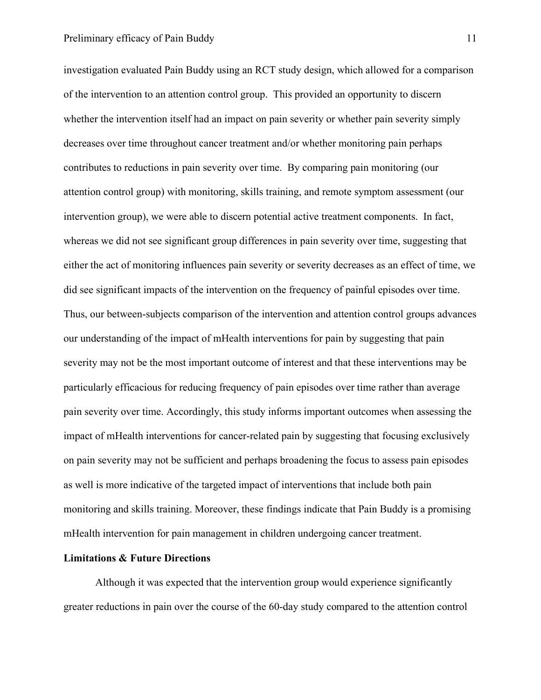investigation evaluated Pain Buddy using an RCT study design, which allowed for a comparison of the intervention to an attention control group. This provided an opportunity to discern whether the intervention itself had an impact on pain severity or whether pain severity simply decreases over time throughout cancer treatment and/or whether monitoring pain perhaps contributes to reductions in pain severity over time. By comparing pain monitoring (our attention control group) with monitoring, skills training, and remote symptom assessment (our intervention group), we were able to discern potential active treatment components. In fact, whereas we did not see significant group differences in pain severity over time, suggesting that either the act of monitoring influences pain severity or severity decreases as an effect of time, we did see significant impacts of the intervention on the frequency of painful episodes over time. Thus, our between-subjects comparison of the intervention and attention control groups advances our understanding of the impact of mHealth interventions for pain by suggesting that pain severity may not be the most important outcome of interest and that these interventions may be particularly efficacious for reducing frequency of pain episodes over time rather than average pain severity over time. Accordingly, this study informs important outcomes when assessing the impact of mHealth interventions for cancer-related pain by suggesting that focusing exclusively on pain severity may not be sufficient and perhaps broadening the focus to assess pain episodes as well is more indicative of the targeted impact of interventions that include both pain monitoring and skills training. Moreover, these findings indicate that Pain Buddy is a promising mHealth intervention for pain management in children undergoing cancer treatment.

#### **Limitations & Future Directions**

Although it was expected that the intervention group would experience significantly greater reductions in pain over the course of the 60-day study compared to the attention control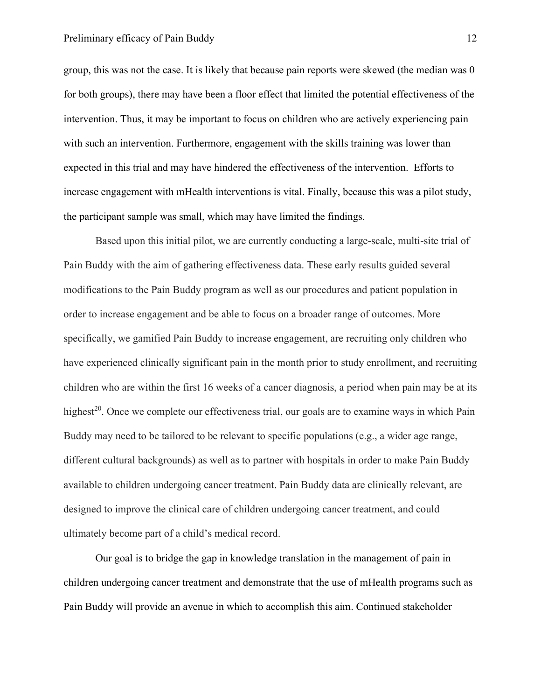group, this was not the case. It is likely that because pain reports were skewed (the median was 0 for both groups), there may have been a floor effect that limited the potential effectiveness of the intervention. Thus, it may be important to focus on children who are actively experiencing pain with such an intervention. Furthermore, engagement with the skills training was lower than expected in this trial and may have hindered the effectiveness of the intervention. Efforts to increase engagement with mHealth interventions is vital. Finally, because this was a pilot study, the participant sample was small, which may have limited the findings.

Based upon this initial pilot, we are currently conducting a large-scale, multi-site trial of Pain Buddy with the aim of gathering effectiveness data. These early results guided several modifications to the Pain Buddy program as well as our procedures and patient population in order to increase engagement and be able to focus on a broader range of outcomes. More specifically, we gamified Pain Buddy to increase engagement, are recruiting only children who have experienced clinically significant pain in the month prior to study enrollment, and recruiting children who are within the first 16 weeks of a cancer diagnosis, a period when pain may be at its highest<sup>20</sup>. Once we complete our effectiveness trial, our goals are to examine ways in which Pain Buddy may need to be tailored to be relevant to specific populations (e.g., a wider age range, different cultural backgrounds) as well as to partner with hospitals in order to make Pain Buddy available to children undergoing cancer treatment. Pain Buddy data are clinically relevant, are designed to improve the clinical care of children undergoing cancer treatment, and could ultimately become part of a child's medical record.

Our goal is to bridge the gap in knowledge translation in the management of pain in children undergoing cancer treatment and demonstrate that the use of mHealth programs such as Pain Buddy will provide an avenue in which to accomplish this aim. Continued stakeholder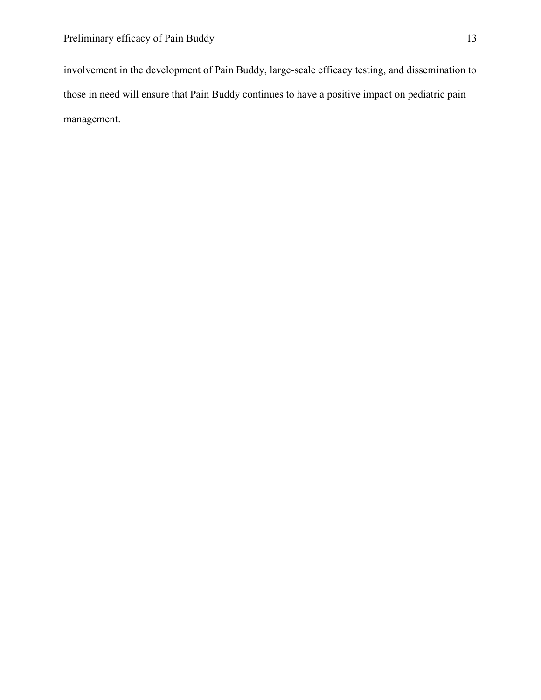involvement in the development of Pain Buddy, large-scale efficacy testing, and dissemination to those in need will ensure that Pain Buddy continues to have a positive impact on pediatric pain management.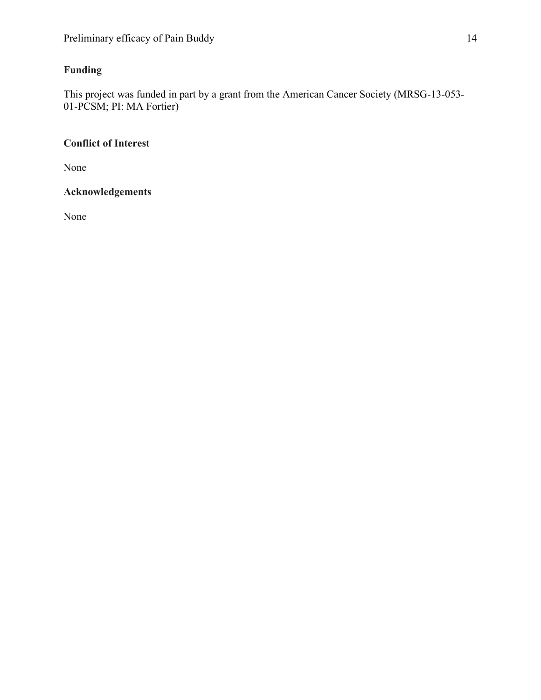# **Funding**

This project was funded in part by a grant from the American Cancer Society (MRSG-13-053- 01-PCSM; PI: MA Fortier)

# **Conflict of Interest**

None

# **Acknowledgements**

None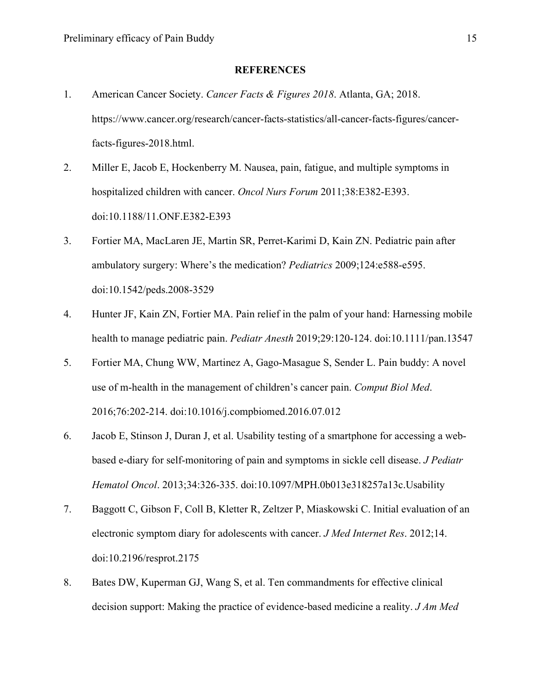#### **REFERENCES**

- 1. American Cancer Society. *Cancer Facts & Figures 2018*. Atlanta, GA; 2018. https://www.cancer.org/research/cancer-facts-statistics/all-cancer-facts-figures/cancerfacts-figures-2018.html.
- 2. Miller E, Jacob E, Hockenberry M. Nausea, pain, fatigue, and multiple symptoms in hospitalized children with cancer. *Oncol Nurs Forum* 2011;38:E382-E393. doi:10.1188/11.ONF.E382-E393
- 3. Fortier MA, MacLaren JE, Martin SR, Perret-Karimi D, Kain ZN. Pediatric pain after ambulatory surgery: Where's the medication? *Pediatrics* 2009;124:e588-e595. doi:10.1542/peds.2008-3529
- 4. Hunter JF, Kain ZN, Fortier MA. Pain relief in the palm of your hand: Harnessing mobile health to manage pediatric pain. *Pediatr Anesth* 2019;29:120-124. doi:10.1111/pan.13547
- 5. Fortier MA, Chung WW, Martinez A, Gago-Masague S, Sender L. Pain buddy: A novel use of m-health in the management of children's cancer pain. *Comput Biol Med*. 2016;76:202-214. doi:10.1016/j.compbiomed.2016.07.012
- 6. Jacob E, Stinson J, Duran J, et al. Usability testing of a smartphone for accessing a webbased e-diary for self-monitoring of pain and symptoms in sickle cell disease. *J Pediatr Hematol Oncol*. 2013;34:326-335. doi:10.1097/MPH.0b013e318257a13c.Usability
- 7. Baggott C, Gibson F, Coll B, Kletter R, Zeltzer P, Miaskowski C. Initial evaluation of an electronic symptom diary for adolescents with cancer. *J Med Internet Res*. 2012;14. doi:10.2196/resprot.2175
- 8. Bates DW, Kuperman GJ, Wang S, et al. Ten commandments for effective clinical decision support: Making the practice of evidence-based medicine a reality. *J Am Med*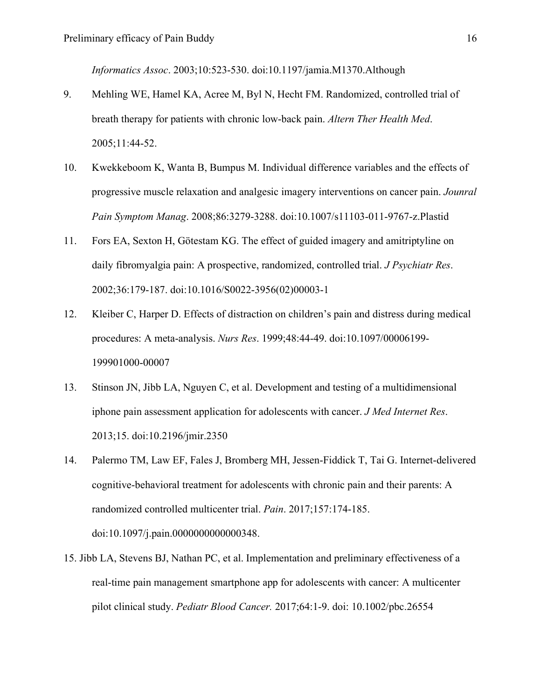*Informatics Assoc*. 2003;10:523-530. doi:10.1197/jamia.M1370.Although

- 9. Mehling WE, Hamel KA, Acree M, Byl N, Hecht FM. Randomized, controlled trial of breath therapy for patients with chronic low-back pain. *Altern Ther Health Med*. 2005;11:44-52.
- 10. Kwekkeboom K, Wanta B, Bumpus M. Individual difference variables and the effects of progressive muscle relaxation and analgesic imagery interventions on cancer pain. *Jounral Pain Symptom Manag*. 2008;86:3279-3288. doi:10.1007/s11103-011-9767-z.Plastid
- 11. Fors EA, Sexton H, Götestam KG. The effect of guided imagery and amitriptyline on daily fibromyalgia pain: A prospective, randomized, controlled trial. *J Psychiatr Res*. 2002;36:179-187. doi:10.1016/S0022-3956(02)00003-1
- 12. Kleiber C, Harper D. Effects of distraction on children's pain and distress during medical procedures: A meta-analysis. *Nurs Res*. 1999;48:44-49. doi:10.1097/00006199- 199901000-00007
- 13. Stinson JN, Jibb LA, Nguyen C, et al. Development and testing of a multidimensional iphone pain assessment application for adolescents with cancer. *J Med Internet Res*. 2013;15. doi:10.2196/jmir.2350
- 14. Palermo TM, Law EF, Fales J, Bromberg MH, Jessen-Fiddick T, Tai G. Internet-delivered cognitive-behavioral treatment for adolescents with chronic pain and their parents: A randomized controlled multicenter trial. *Pain*. 2017;157:174-185. doi:10.1097/j.pain.0000000000000348.
- 15. Jibb LA, Stevens BJ, Nathan PC, et al. Implementation and preliminary effectiveness of a real-time pain management smartphone app for adolescents with cancer: A multicenter pilot clinical study. *Pediatr Blood Cancer.* 2017;64:1-9. doi: 10.1002/pbc.26554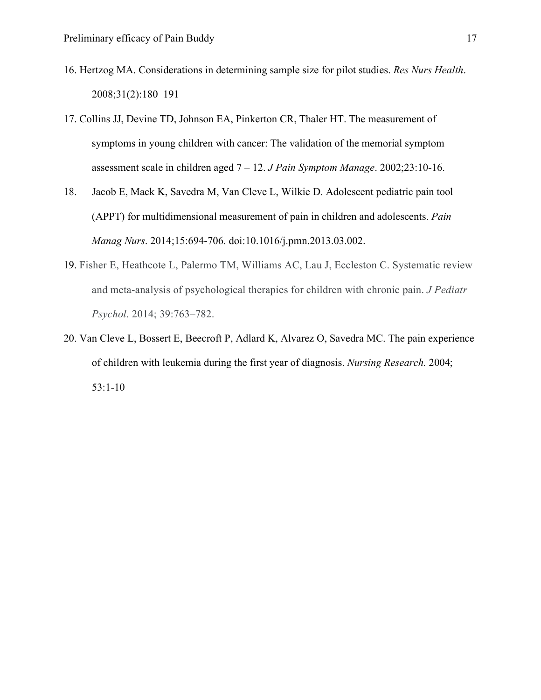- 16. Hertzog MA. Considerations in determining sample size for pilot studies. *Res Nurs Health*. 2008;31(2):180–191
- 17. Collins JJ, Devine TD, Johnson EA, Pinkerton CR, Thaler HT. The measurement of symptoms in young children with cancer: The validation of the memorial symptom assessment scale in children aged 7 – 12. *J Pain Symptom Manage*. 2002;23:10-16.
- 18. Jacob E, Mack K, Savedra M, Van Cleve L, Wilkie D. Adolescent pediatric pain tool (APPT) for multidimensional measurement of pain in children and adolescents. *Pain Manag Nurs*. 2014;15:694-706. doi:10.1016/j.pmn.2013.03.002.
- 19. Fisher E, Heathcote L, Palermo TM, Williams AC, Lau J, Eccleston C. Systematic review and meta-analysis of psychological therapies for children with chronic pain. *J Pediatr Psychol*. 2014; 39:763–782.
- 20. Van Cleve L, Bossert E, Beecroft P, Adlard K, Alvarez O, Savedra MC. The pain experience of children with leukemia during the first year of diagnosis. *Nursing Research.* 2004; 53:1-10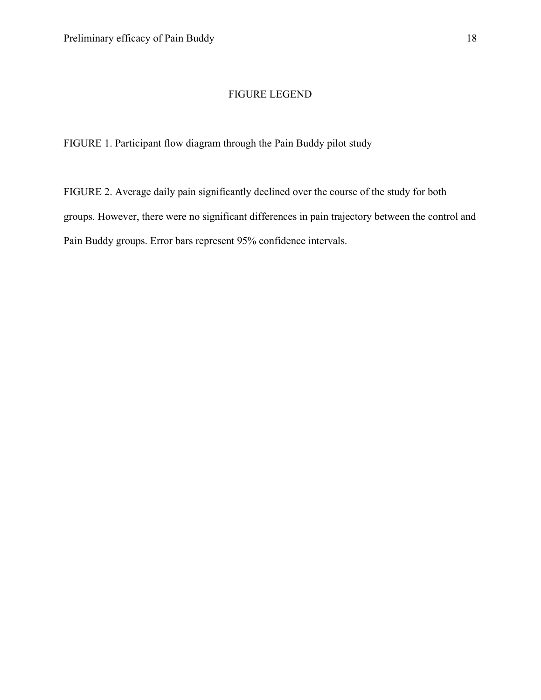# FIGURE LEGEND

FIGURE 1. Participant flow diagram through the Pain Buddy pilot study

FIGURE 2. Average daily pain significantly declined over the course of the study for both groups. However, there were no significant differences in pain trajectory between the control and Pain Buddy groups. Error bars represent 95% confidence intervals.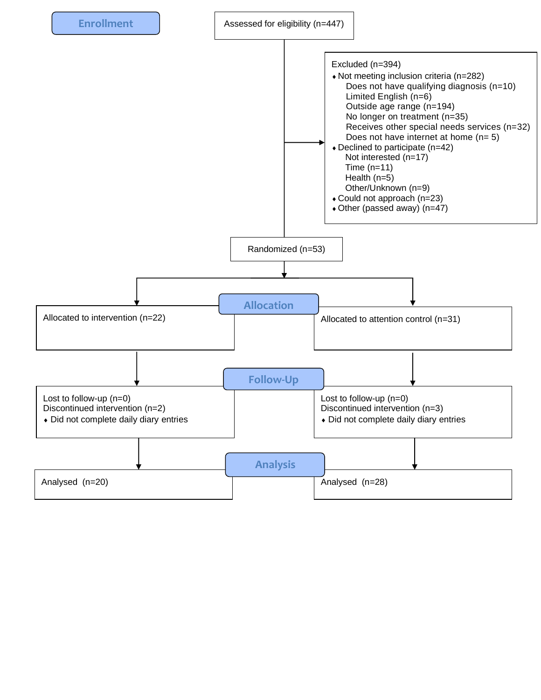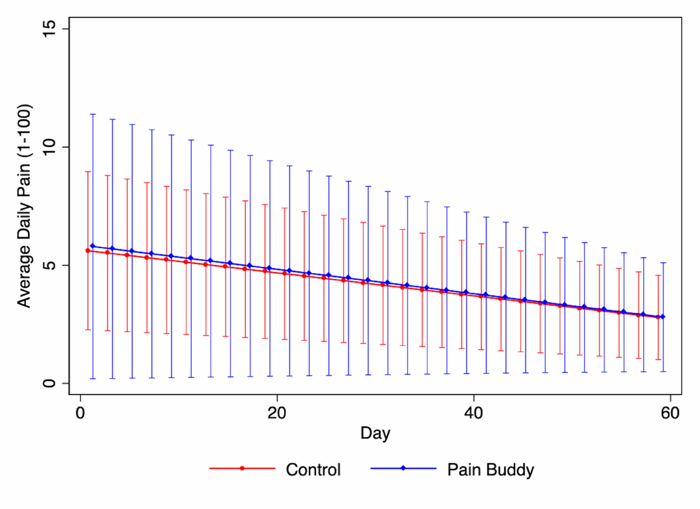